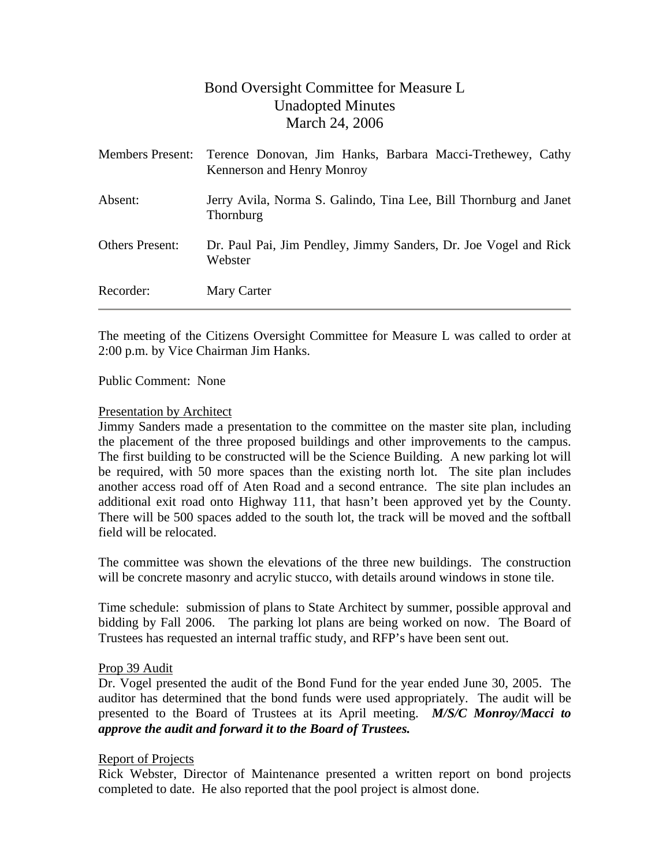# Bond Oversight Committee for Measure L Unadopted Minutes March 24, 2006

|                        | Members Present: Terence Donovan, Jim Hanks, Barbara Macci-Trethewey, Cathy<br>Kennerson and Henry Monroy |
|------------------------|-----------------------------------------------------------------------------------------------------------|
| Absent:                | Jerry Avila, Norma S. Galindo, Tina Lee, Bill Thornburg and Janet<br><b>Thornburg</b>                     |
| <b>Others Present:</b> | Dr. Paul Pai, Jim Pendley, Jimmy Sanders, Dr. Joe Vogel and Rick<br>Webster                               |
| Recorder:              | Mary Carter                                                                                               |

The meeting of the Citizens Oversight Committee for Measure L was called to order at 2:00 p.m. by Vice Chairman Jim Hanks.

#### Public Comment: None

#### Presentation by Architect

Jimmy Sanders made a presentation to the committee on the master site plan, including the placement of the three proposed buildings and other improvements to the campus. The first building to be constructed will be the Science Building. A new parking lot will be required, with 50 more spaces than the existing north lot. The site plan includes another access road off of Aten Road and a second entrance. The site plan includes an additional exit road onto Highway 111, that hasn't been approved yet by the County. There will be 500 spaces added to the south lot, the track will be moved and the softball field will be relocated.

The committee was shown the elevations of the three new buildings. The construction will be concrete masonry and acrylic stucco, with details around windows in stone tile.

Time schedule: submission of plans to State Architect by summer, possible approval and bidding by Fall 2006. The parking lot plans are being worked on now. The Board of Trustees has requested an internal traffic study, and RFP's have been sent out.

#### Prop 39 Audit

Dr. Vogel presented the audit of the Bond Fund for the year ended June 30, 2005. The auditor has determined that the bond funds were used appropriately. The audit will be presented to the Board of Trustees at its April meeting. *M/S/C Monroy/Macci to approve the audit and forward it to the Board of Trustees.* 

#### Report of Projects

Rick Webster, Director of Maintenance presented a written report on bond projects completed to date. He also reported that the pool project is almost done.